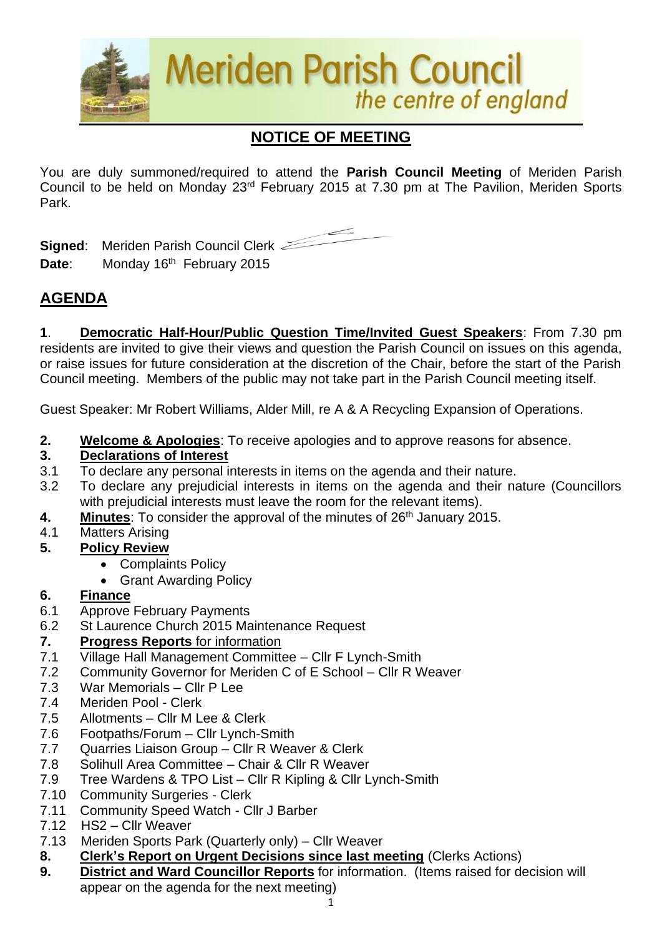

# **NOTICE OF MEETING**

You are duly summoned/required to attend the **Parish Council Meeting** of Meriden Parish Council to be held on Monday 23<sup>rd</sup> February 2015 at 7.30 pm at The Pavilion, Meriden Sports Park.

**Signed**: Meriden Parish Council Clerk Date: Monday 16<sup>th</sup> February 2015

## **AGENDA**

**1**. **Democratic Half-Hour/Public Question Time/Invited Guest Speakers**: From 7.30 pm residents are invited to give their views and question the Parish Council on issues on this agenda, or raise issues for future consideration at the discretion of the Chair, before the start of the Parish Council meeting. Members of the public may not take part in the Parish Council meeting itself.

Guest Speaker: Mr Robert Williams, Alder Mill, re A & A Recycling Expansion of Operations.

**2. Welcome & Apologies**: To receive apologies and to approve reasons for absence.

#### **3. Declarations of Interest**

- 3.1 To declare any personal interests in items on the agenda and their nature.
- 3.2 To declare any prejudicial interests in items on the agenda and their nature (Councillors with prejudicial interests must leave the room for the relevant items).
- **4. Minutes:** To consider the approval of the minutes of 26<sup>th</sup> January 2015.
- 4.1 Matters Arising
- **5. Policy Review**
	- Complaints Policy
	- Grant Awarding Policy
- **6. Finance**
- 6.1 Approve February Payments
- 6.2 St Laurence Church 2015 Maintenance Request
- **7. Progress Reports** for information
- 7.1 Village Hall Management Committee Cllr F Lynch-Smith
- 7.2 Community Governor for Meriden C of E School Cllr R Weaver
- 7.3 War Memorials Cllr P Lee
- 7.4 Meriden Pool Clerk
- 7.5 Allotments Cllr M Lee & Clerk
- 7.6 Footpaths/Forum Cllr Lynch-Smith
- 7.7 Quarries Liaison Group Cllr R Weaver & Clerk
- 7.8 Solihull Area Committee Chair & Cllr R Weaver
- 7.9 Tree Wardens & TPO List Cllr R Kipling & Cllr Lynch-Smith
- 7.10 Community Surgeries Clerk
- 7.11 Community Speed Watch Cllr J Barber
- 7.12 HS2 Cllr Weaver
- 7.13Meriden Sports Park (Quarterly only) Cllr Weaver
- **8. Clerk's Report on Urgent Decisions since last meeting** (Clerks Actions)
- **9. District and Ward Councillor Reports** for information. (Items raised for decision will appear on the agenda for the next meeting)